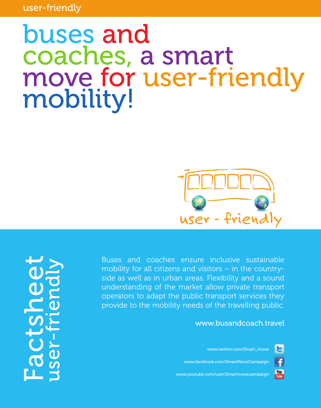user-friendly

## buses and coaches, a smart move for user-friendly mobility!



Buses and coaches ensure inclusive sustainable mobility for all citizens and visitors – in the countryside as well as in urban areas. Flexibility and a sound understanding of the market allow private transport operators to adapt the public transport services they provide to the mobility needs of the travelling public.

www.busandcoach.travel

[www.twitter.com/Smart\\_move](http://www.twitter.com/Smart_move)

E

£

[www.facebook.com/SmartMoveCampaign](http://www.facebook.com/SmartMoveCampaign)